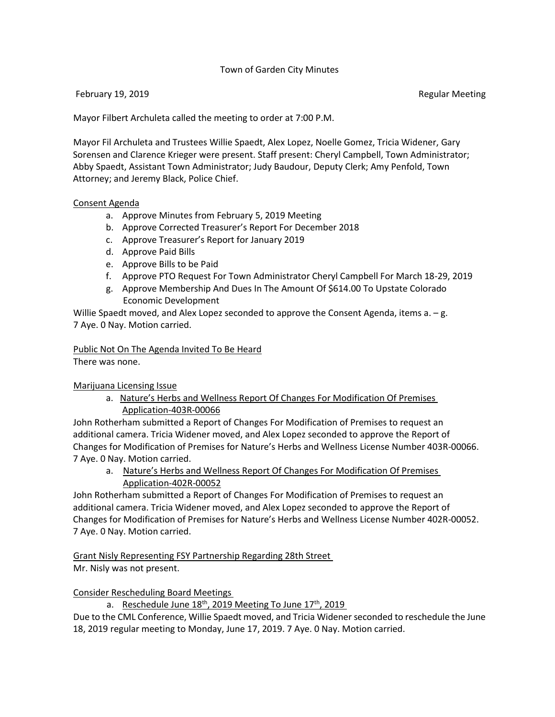## Town of Garden City Minutes

#### February 19, 2019 **Regular Meeting** Regular Meeting

Mayor Filbert Archuleta called the meeting to order at 7:00 P.M.

Mayor Fil Archuleta and Trustees Willie Spaedt, Alex Lopez, Noelle Gomez, Tricia Widener, Gary Sorensen and Clarence Krieger were present. Staff present: Cheryl Campbell, Town Administrator; Abby Spaedt, Assistant Town Administrator; Judy Baudour, Deputy Clerk; Amy Penfold, Town Attorney; and Jeremy Black, Police Chief.

#### Consent Agenda

- a. Approve Minutes from February 5, 2019 Meeting
- b. Approve Corrected Treasurer's Report For December 2018
- c. Approve Treasurer's Report for January 2019
- d. Approve Paid Bills
- e. Approve Bills to be Paid
- f. Approve PTO Request For Town Administrator Cheryl Campbell For March 18-29, 2019
- g. Approve Membership And Dues In The Amount Of \$614.00 To Upstate Colorado Economic Development

Willie Spaedt moved, and Alex Lopez seconded to approve the Consent Agenda, items a. - g. 7 Aye. 0 Nay. Motion carried.

#### Public Not On The Agenda Invited To Be Heard

There was none.

Marijuana Licensing Issue

a. Nature's Herbs and Wellness Report Of Changes For Modification Of Premises Application-403R-00066

John Rotherham submitted a Report of Changes For Modification of Premises to request an additional camera. Tricia Widener moved, and Alex Lopez seconded to approve the Report of Changes for Modification of Premises for Nature's Herbs and Wellness License Number 403R-00066. 7 Aye. 0 Nay. Motion carried.

a. Nature's Herbs and Wellness Report Of Changes For Modification Of Premises Application-402R-00052

John Rotherham submitted a Report of Changes For Modification of Premises to request an additional camera. Tricia Widener moved, and Alex Lopez seconded to approve the Report of Changes for Modification of Premises for Nature's Herbs and Wellness License Number 402R-00052. 7 Aye. 0 Nay. Motion carried.

# Grant Nisly Representing FSY Partnership Regarding 28th Street

Mr. Nisly was not present.

Consider Rescheduling Board Meetings

a. Reschedule June  $18<sup>th</sup>$ , 2019 Meeting To June  $17<sup>th</sup>$ , 2019

Due to the CML Conference, Willie Spaedt moved, and Tricia Widener seconded to reschedule the June 18, 2019 regular meeting to Monday, June 17, 2019. 7 Aye. 0 Nay. Motion carried.